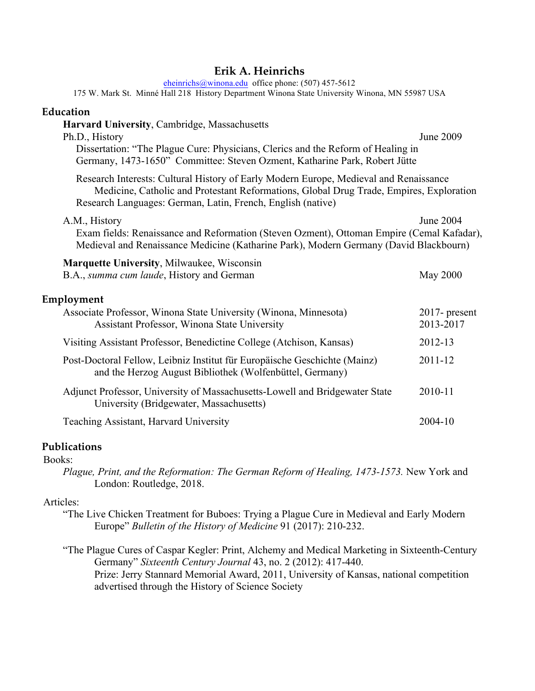### **Erik A. Heinrichs**

eheinrichs@winona.edu office phone: (507) 457-5612

175 W. Mark St. Minné Hall 218 History Department Winona State University Winona, MN 55987 USA

#### **Education**

| Harvard University, Cambridge, Massachusetts<br>Ph.D., History<br>Dissertation: "The Plague Cure: Physicians, Clerics and the Reform of Healing in<br>Germany, 1473-1650" Committee: Steven Ozment, Katharine Park, Robert Jütte                | June 2009                     |
|-------------------------------------------------------------------------------------------------------------------------------------------------------------------------------------------------------------------------------------------------|-------------------------------|
| Research Interests: Cultural History of Early Modern Europe, Medieval and Renaissance<br>Medicine, Catholic and Protestant Reformations, Global Drug Trade, Empires, Exploration<br>Research Languages: German, Latin, French, English (native) |                               |
| A.M., History<br>Exam fields: Renaissance and Reformation (Steven Ozment), Ottoman Empire (Cemal Kafadar),<br>Medieval and Renaissance Medicine (Katharine Park), Modern Germany (David Blackbourn)                                             | June 2004                     |
| <b>Marquette University, Milwaukee, Wisconsin</b><br>B.A., summa cum laude, History and German                                                                                                                                                  | <b>May 2000</b>               |
| Employment                                                                                                                                                                                                                                      |                               |
| Associate Professor, Winona State University (Winona, Minnesota)<br>Assistant Professor, Winona State University                                                                                                                                | $2017$ - present<br>2013-2017 |
| Visiting Assistant Professor, Benedictine College (Atchison, Kansas)                                                                                                                                                                            | 2012-13                       |
| Post-Doctoral Fellow, Leibniz Institut für Europäische Geschichte (Mainz)<br>and the Herzog August Bibliothek (Wolfenbüttel, Germany)                                                                                                           | 2011-12                       |
| Adjunct Professor, University of Massachusetts-Lowell and Bridgewater State<br>University (Bridgewater, Massachusetts)                                                                                                                          | 2010-11                       |
| Teaching Assistant, Harvard University                                                                                                                                                                                                          | 2004-10                       |

#### **Publications**

Books:

*Plague, Print, and the Reformation: The German Reform of Healing, 1473-1573.* New York and London: Routledge, 2018.

#### Articles:

- "The Live Chicken Treatment for Buboes: Trying a Plague Cure in Medieval and Early Modern Europe" *Bulletin of the History of Medicine* 91 (2017): 210-232.
- "The Plague Cures of Caspar Kegler: Print, Alchemy and Medical Marketing in Sixteenth-Century Germany" *Sixteenth Century Journal* 43, no. 2 (2012): 417-440. Prize: Jerry Stannard Memorial Award, 2011, University of Kansas, national competition advertised through the History of Science Society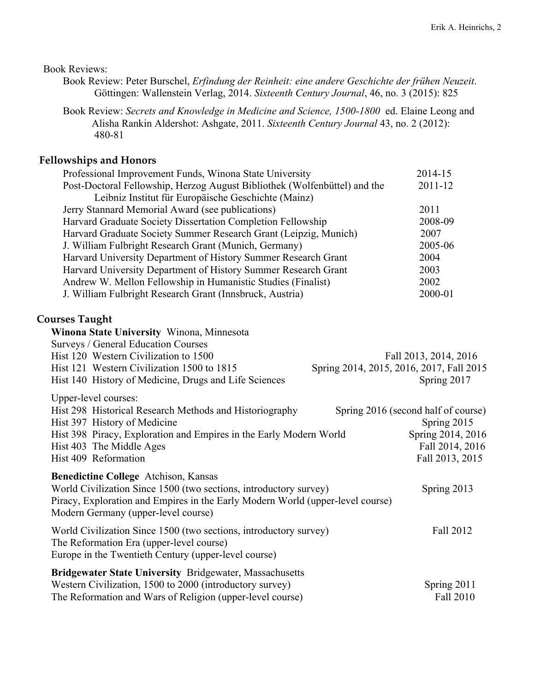Book Reviews:

- Book Review: Peter Burschel, *Erfindung der Reinheit: eine andere Geschichte der frühen Neuzeit*. Göttingen: Wallenstein Verlag, 2014. *Sixteenth Century Journal*, 46, no. 3 (2015): 825
- Book Review: *Secrets and Knowledge in Medicine and Science, 1500-1800* ed. Elaine Leong and Alisha Rankin Aldershot: Ashgate, 2011. *Sixteenth Century Journal* 43, no. 2 (2012): 480-81

# **Fellowships and Honors**

| 2014-15                                  |
|------------------------------------------|
| 2011-12                                  |
|                                          |
| 2011                                     |
| 2008-09                                  |
| 2007                                     |
| 2005-06                                  |
| 2004                                     |
| 2003                                     |
| 2002                                     |
| 2000-01                                  |
|                                          |
|                                          |
|                                          |
|                                          |
| Fall 2013, 2014, 2016                    |
| Spring 2014, 2015, 2016, 2017, Fall 2015 |
| Spring 2017                              |
|                                          |
|                                          |
| Spring 2016 (second half of course)      |
| Spring 2015                              |
| Spring 2014, 2016                        |
| Fall 2014, 2016                          |
| Fall 2013, 2015                          |
|                                          |
| Spring 2013                              |
|                                          |
|                                          |
|                                          |
| Fall 2012                                |
|                                          |
|                                          |
|                                          |
| Spring 2011                              |
|                                          |

The Reformation and Wars of Religion (upper-level course) Fall 2010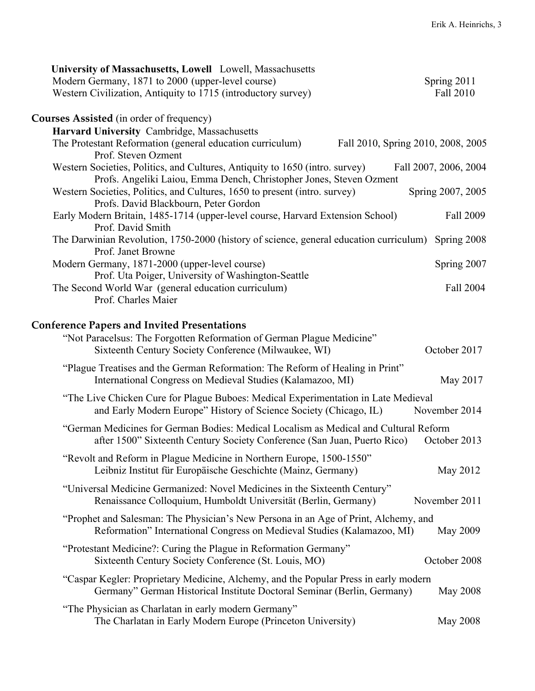| University of Massachusetts, Lowell Lowell, Massachusetts<br>Modern Germany, 1871 to 2000 (upper-level course)<br>Western Civilization, Antiquity to 1715 (introductory survey)     | Spring 2011<br>Fall 2010           |
|-------------------------------------------------------------------------------------------------------------------------------------------------------------------------------------|------------------------------------|
| <b>Courses Assisted</b> (in order of frequency)                                                                                                                                     |                                    |
| Harvard University Cambridge, Massachusetts                                                                                                                                         |                                    |
| The Protestant Reformation (general education curriculum)<br>Prof. Steven Ozment                                                                                                    | Fall 2010, Spring 2010, 2008, 2005 |
| Western Societies, Politics, and Cultures, Antiquity to 1650 (intro. survey)<br>Profs. Angeliki Laiou, Emma Dench, Christopher Jones, Steven Ozment                                 | Fall 2007, 2006, 2004              |
| Western Societies, Politics, and Cultures, 1650 to present (intro. survey)<br>Profs. David Blackbourn, Peter Gordon                                                                 | Spring 2007, 2005                  |
| Early Modern Britain, 1485-1714 (upper-level course, Harvard Extension School)<br>Prof. David Smith                                                                                 | Fall 2009                          |
| The Darwinian Revolution, 1750-2000 (history of science, general education curriculum)<br>Prof. Janet Browne                                                                        | Spring 2008                        |
| Modern Germany, 1871-2000 (upper-level course)                                                                                                                                      | Spring 2007                        |
| Prof. Uta Poiger, University of Washington-Seattle                                                                                                                                  |                                    |
| The Second World War (general education curriculum)<br>Prof. Charles Maier                                                                                                          | Fall 2004                          |
| <b>Conference Papers and Invited Presentations</b><br>"Not Paracelsus: The Forgotten Reformation of German Plague Medicine"<br>Sixteenth Century Society Conference (Milwaukee, WI) | October 2017                       |
| "Plague Treatises and the German Reformation: The Reform of Healing in Print"<br>International Congress on Medieval Studies (Kalamazoo, MI)                                         | May 2017                           |
| "The Live Chicken Cure for Plague Buboes: Medical Experimentation in Late Medieval<br>and Early Modern Europe" History of Science Society (Chicago, IL)                             | November 2014                      |
| "German Medicines for German Bodies: Medical Localism as Medical and Cultural Reform<br>after 1500" Sixteenth Century Society Conference (San Juan, Puerto Rico)                    | October 2013                       |
| "Revolt and Reform in Plague Medicine in Northern Europe, 1500-1550"<br>Leibniz Institut für Europäische Geschichte (Mainz, Germany)                                                | May 2012                           |
| "Universal Medicine Germanized: Novel Medicines in the Sixteenth Century"<br>Renaissance Colloquium, Humboldt Universität (Berlin, Germany)                                         | November 2011                      |
| "Prophet and Salesman: The Physician's New Persona in an Age of Print, Alchemy, and<br>Reformation" International Congress on Medieval Studies (Kalamazoo, MI)                      | May 2009                           |
| "Protestant Medicine?: Curing the Plague in Reformation Germany"<br>Sixteenth Century Society Conference (St. Louis, MO)                                                            | October 2008                       |
| "Caspar Kegler: Proprietary Medicine, Alchemy, and the Popular Press in early modern<br>Germany" German Historical Institute Doctoral Seminar (Berlin, Germany)                     | May 2008                           |
| "The Physician as Charlatan in early modern Germany"<br>The Charlatan in Early Modern Europe (Princeton University)                                                                 | <b>May 2008</b>                    |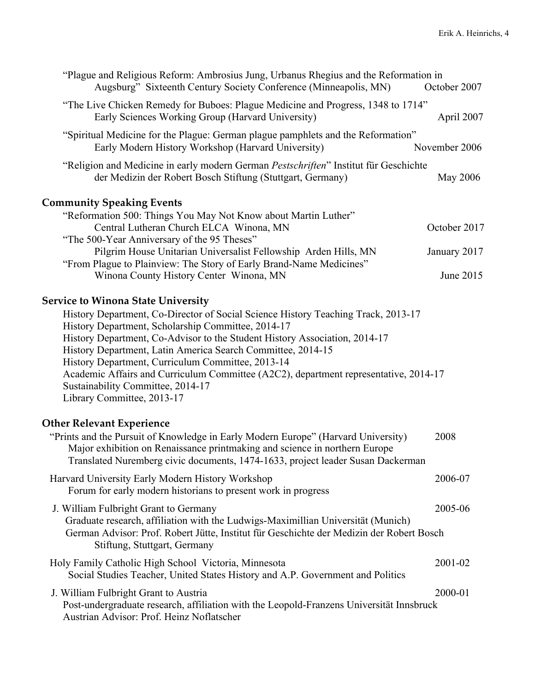| "Plague and Religious Reform: Ambrosius Jung, Urbanus Rhegius and the Reformation in<br>Augsburg" Sixteenth Century Society Conference (Minneapolis, MN)                                                                                                                                                                                                                                                                                                                                             | October 2007  |
|------------------------------------------------------------------------------------------------------------------------------------------------------------------------------------------------------------------------------------------------------------------------------------------------------------------------------------------------------------------------------------------------------------------------------------------------------------------------------------------------------|---------------|
| "The Live Chicken Remedy for Buboes: Plague Medicine and Progress, 1348 to 1714"<br>Early Sciences Working Group (Harvard University)                                                                                                                                                                                                                                                                                                                                                                | April 2007    |
| "Spiritual Medicine for the Plague: German plague pamphlets and the Reformation"<br>Early Modern History Workshop (Harvard University)                                                                                                                                                                                                                                                                                                                                                               | November 2006 |
| "Religion and Medicine in early modern German Pestschriften" Institut für Geschichte<br>der Medizin der Robert Bosch Stiftung (Stuttgart, Germany)                                                                                                                                                                                                                                                                                                                                                   | May 2006      |
| <b>Community Speaking Events</b>                                                                                                                                                                                                                                                                                                                                                                                                                                                                     |               |
| "Reformation 500: Things You May Not Know about Martin Luther"<br>Central Lutheran Church ELCA Winona, MN<br>"The 500-Year Anniversary of the 95 Theses"                                                                                                                                                                                                                                                                                                                                             | October 2017  |
| Pilgrim House Unitarian Universalist Fellowship Arden Hills, MN                                                                                                                                                                                                                                                                                                                                                                                                                                      | January 2017  |
| "From Plague to Plainview: The Story of Early Brand-Name Medicines"<br>Winona County History Center Winona, MN                                                                                                                                                                                                                                                                                                                                                                                       | June 2015     |
| History Department, Co-Director of Social Science History Teaching Track, 2013-17<br>History Department, Scholarship Committee, 2014-17<br>History Department, Co-Advisor to the Student History Association, 2014-17<br>History Department, Latin America Search Committee, 2014-15<br>History Department, Curriculum Committee, 2013-14<br>Academic Affairs and Curriculum Committee (A2C2), department representative, 2014-17<br>Sustainability Committee, 2014-17<br>Library Committee, 2013-17 |               |
| <b>Other Relevant Experience</b><br>"Prints and the Pursuit of Knowledge in Early Modern Europe" (Harvard University)<br>Major exhibition on Renaissance printmaking and science in northern Europe<br>Translated Nuremberg civic documents, 1474-1633, project leader Susan Dackerman                                                                                                                                                                                                               | 2008          |
| Harvard University Early Modern History Workshop<br>Forum for early modern historians to present work in progress                                                                                                                                                                                                                                                                                                                                                                                    | 2006-07       |
| J. William Fulbright Grant to Germany<br>Graduate research, affiliation with the Ludwigs-Maximillian Universität (Munich)<br>German Advisor: Prof. Robert Jütte, Institut für Geschichte der Medizin der Robert Bosch<br>Stiftung, Stuttgart, Germany                                                                                                                                                                                                                                                | 2005-06       |
| Holy Family Catholic High School Victoria, Minnesota<br>Social Studies Teacher, United States History and A.P. Government and Politics                                                                                                                                                                                                                                                                                                                                                               | 2001-02       |
| J. William Fulbright Grant to Austria<br>Post-undergraduate research, affiliation with the Leopold-Franzens Universität Innsbruck<br>Austrian Advisor: Prof. Heinz Noflatscher                                                                                                                                                                                                                                                                                                                       | 2000-01       |